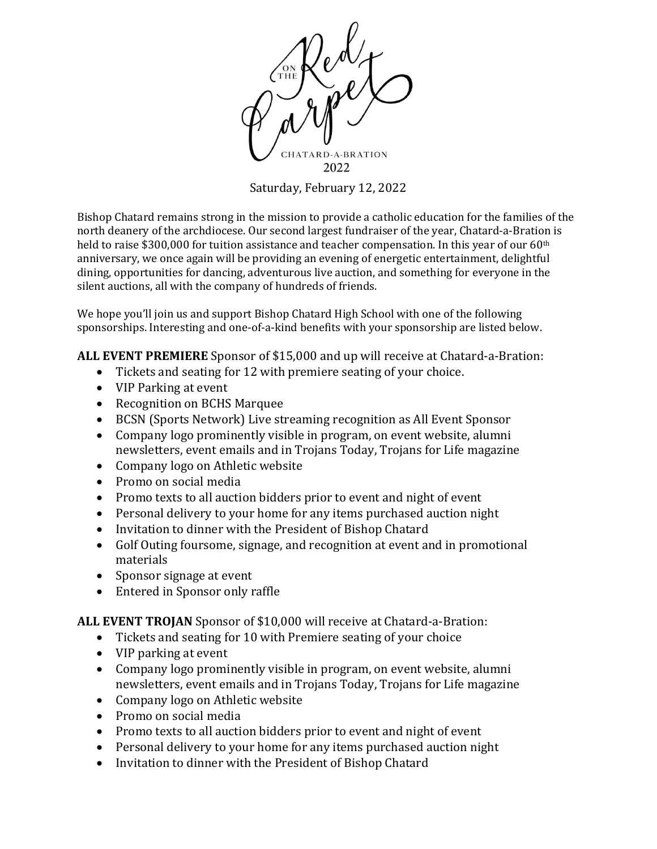

Saturday, February 12, 2022

Bishop Chatard remains strong in the mission to provide a catholic education for the families of the north deanery of the archdiocese. Our second largest fundraiser of the year, Chatard-a-Bration is held to raise \$300,000 for tuition assistance and teacher compensation. In this year of our 60<sup>th</sup> anniversary, we once again will be providing an evening of energetic entertainment, delightful dining, opportunities for dancing, adventurous live auction, and something for everyone in the silent auctions, all with the company of hundreds of friends.

We hope you'll join us and support Bishop Chatard High School with one of the following sponsorships. Interesting and one-of-a-kind benefits with your sponsorship are listed below.

**ALL EVENT PREMIERE** Sponsor of \$15,000 and up will receive at Chatard-a-Bration:

- Tickets and seating for 12 with premiere seating of your choice.
- VIP Parking at event
- Recognition on BCHS Marquee
- BCSN (Sports Network) Live streaming recognition as All Event Sponsor
- Company logo prominently visible in program, on event website, alumni newsletters, event emails and in Trojans Today, Trojans for Life magazine
- Company logo on Athletic website
- Promo on social media
- Promo texts to all auction bidders prior to event and night of event
- Personal delivery to your home for any items purchased auction night
- Invitation to dinner with the President of Bishop Chatard
- Golf Outing foursome, signage, and recognition at event and in promotional materials
- Sponsor signage at event
- Entered in Sponsor only raffle

**ALL EVENT TROJAN** Sponsor of \$10,000 will receive at Chatard-a-Bration:

- Tickets and seating for 10 with Premiere seating of your choice
- VIP parking at event
- Company logo prominently visible in program, on event website, alumni newsletters, event emails and in Trojans Today, Trojans for Life magazine
- Company logo on Athletic website
- Promo on social media
- Promo texts to all auction bidders prior to event and night of event
- Personal delivery to your home for any items purchased auction night
- Invitation to dinner with the President of Bishop Chatard